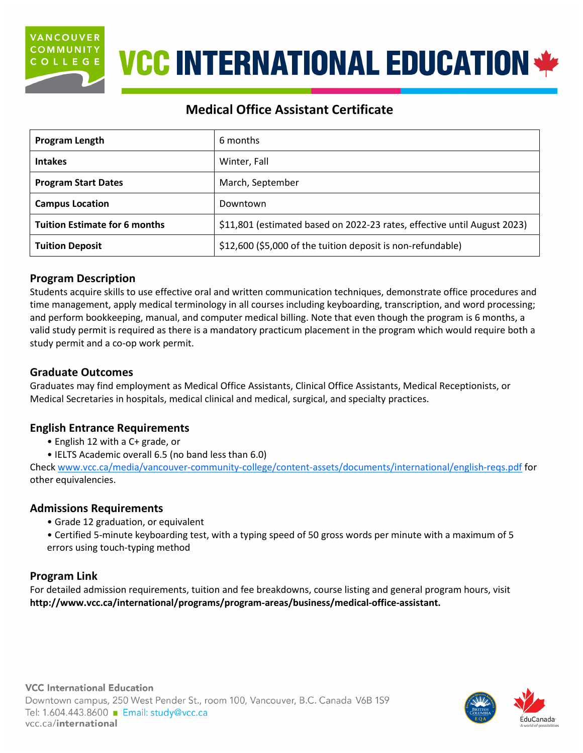

# **VCC INTERNATIONAL EDUCATION \*\***

# **Medical Office Assistant Certificate**

| <b>Program Length</b>                | 6 months                                                                 |  |
|--------------------------------------|--------------------------------------------------------------------------|--|
| <b>Intakes</b>                       | Winter, Fall                                                             |  |
| <b>Program Start Dates</b>           | March, September                                                         |  |
| <b>Campus Location</b>               | Downtown                                                                 |  |
| <b>Tuition Estimate for 6 months</b> | \$11,801 (estimated based on 2022-23 rates, effective until August 2023) |  |
| <b>Tuition Deposit</b>               | \$12,600 (\$5,000 of the tuition deposit is non-refundable)              |  |

# **Program Description**

Students acquire skills to use effective oral and written communication techniques, demonstrate office procedures and time management, apply medical terminology in all courses including keyboarding, transcription, and word processing; and perform bookkeeping, manual, and computer medical billing. Note that even though the program is 6 months, a valid study permit is required as there is a mandatory practicum placement in the program which would require both a study permit and a co-op work permit.

# **Graduate Outcomes**

Graduates may find employment as Medical Office Assistants, Clinical Office Assistants, Medical Receptionists, or Medical Secretaries in hospitals, medical clinical and medical, surgical, and specialty practices.

# **English Entrance Requirements**

- English 12 with a C+ grade, or
- IELTS Academic overall 6.5 (no band less than 6.0)

Check [www.vcc.ca/media/vancouver-community-college/content-assets/documents/international/english-reqs.pdf](http://www.vcc.ca/media/vancouver-community-college/content-assets/documents/international/english-reqs.pdf) for other equivalencies.

# **Admissions Requirements**

- Grade 12 graduation, or equivalent
- Certified 5-minute keyboarding test, with a typing speed of 50 gross words per minute with a maximum of 5 errors using touch-typing method

# **Program Link**

For detailed admission requirements, tuition and fee breakdowns, course listing and general program hours, visit **[http://www.vcc.ca/international/programs/program-areas/business/medical-office-assistant.](http://www.vcc.ca/international/programs/program-areas/business/medical-office-assistant)**